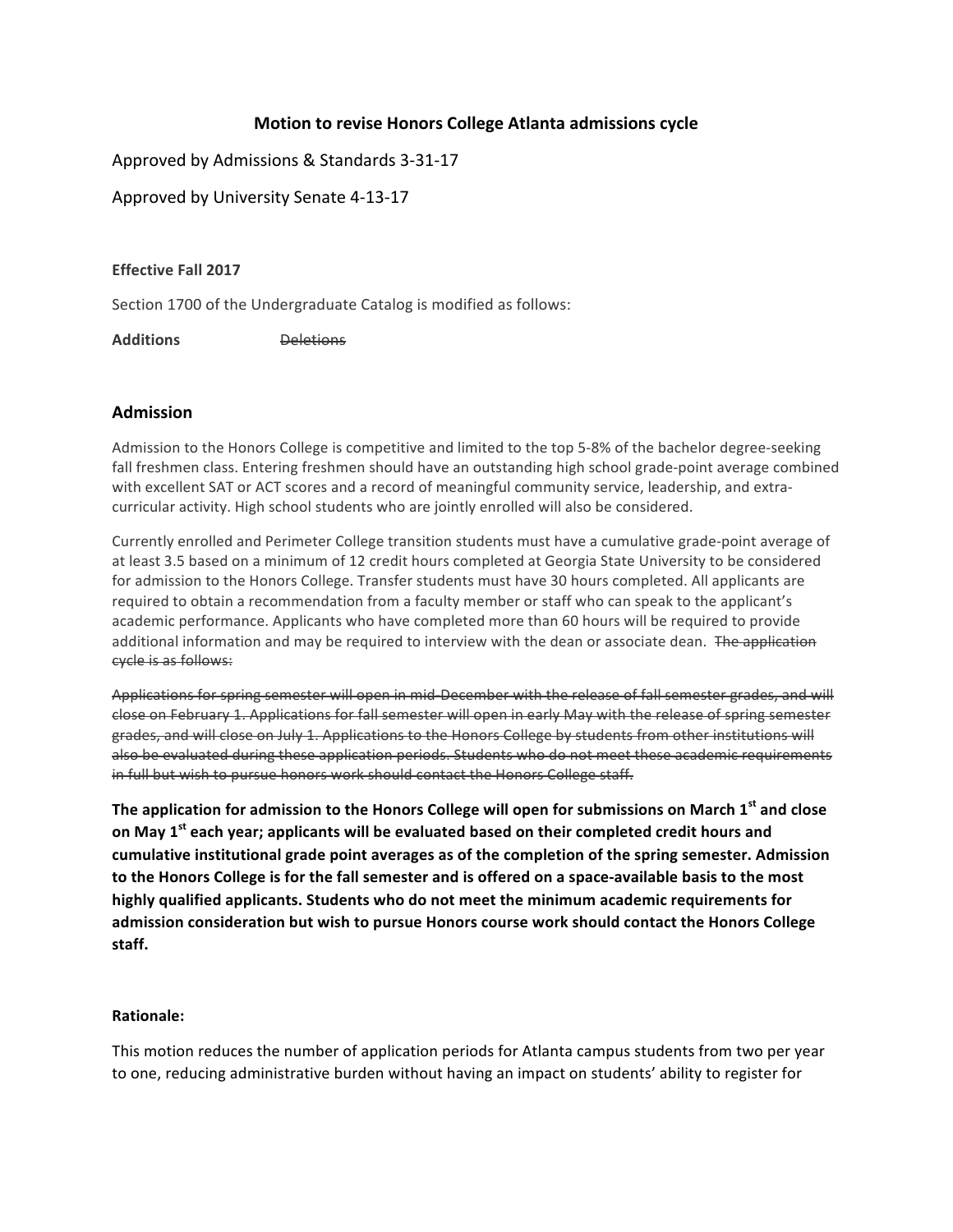## **Motion to revise Honors College Atlanta admissions cycle**

Approved by Admissions & Standards 3-31-17

Approved by University Senate 4-13-17

## **Effective Fall 2017**

Section 1700 of the Undergraduate Catalog is modified as follows:

Additions Deletions

## **Admission**

Admission to the Honors College is competitive and limited to the top 5-8% of the bachelor degree-seeking fall freshmen class. Entering freshmen should have an outstanding high school grade-point average combined with excellent SAT or ACT scores and a record of meaningful community service, leadership, and extracurricular activity. High school students who are jointly enrolled will also be considered.

Currently enrolled and Perimeter College transition students must have a cumulative grade-point average of at least 3.5 based on a minimum of 12 credit hours completed at Georgia State University to be considered for admission to the Honors College. Transfer students must have 30 hours completed. All applicants are required to obtain a recommendation from a faculty member or staff who can speak to the applicant's academic performance. Applicants who have completed more than 60 hours will be required to provide additional information and may be required to interview with the dean or associate dean. The application cycle is as follows:

Applications for spring semester will open in mid-December with the release of fall semester grades, and will close on February 1. Applications for fall semester will open in early May with the release of spring semester grades, and will close on July 1. Applications to the Honors College by students from other institutions will also be evaluated during these application periods. Students who do not meet these academic requirements in full but wish to pursue honors work should contact the Honors College staff.

The application for admission to the Honors College will open for submissions on March 1<sup>st</sup> and close on May 1<sup>st</sup> each year; applicants will be evaluated based on their completed credit hours and cumulative institutional grade point averages as of the completion of the spring semester. Admission to the Honors College is for the fall semester and is offered on a space-available basis to the most highly qualified applicants. Students who do not meet the minimum academic requirements for admission consideration but wish to pursue Honors course work should contact the Honors College **staff.**

## **Rationale:**

This motion reduces the number of application periods for Atlanta campus students from two per year to one, reducing administrative burden without having an impact on students' ability to register for